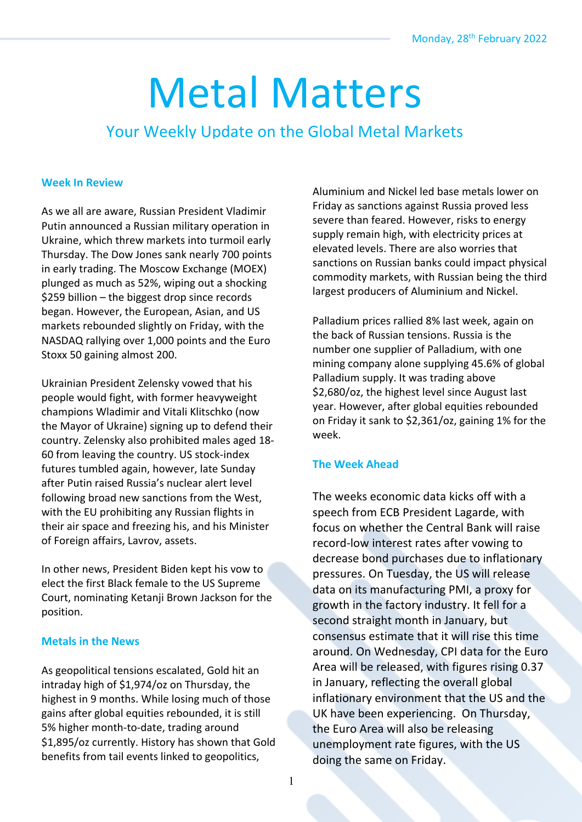# Metal Matters

# Your Weekly Update on the Global Metal Markets

#### **Week In Review**

As we all are aware, Russian President Vladimir Putin announced a Russian military operation in Ukraine, which threw markets into turmoil early Thursday. The Dow Jones sank nearly 700 points in early trading. The Moscow Exchange (MOEX) plunged as much as 52%, wiping out a shocking \$259 billion – the biggest drop since records began. However, the European, Asian, and US markets rebounded slightly on Friday, with the NASDAQ rallying over 1,000 points and the Euro Stoxx 50 gaining almost 200.

Ukrainian President Zelensky vowed that his people would fight, with former heavyweight champions Wladimir and Vitali Klitschko (now the Mayor of Ukraine) signing up to defend their country. Zelensky also prohibited males aged 18- 60 from leaving the country. US stock-index futures tumbled again, however, late Sunday after Putin raised Russia's nuclear alert level following broad new sanctions from the West, with the EU prohibiting any Russian flights in their air space and freezing his, and his Minister of Foreign affairs, Lavrov, assets.

In other news, President Biden kept his vow to elect the first Black female to the US Supreme Court, nominating Ketanji Brown Jackson for the position.

#### **Metals in the News**

As geopolitical tensions escalated, Gold hit an intraday high of \$1,974/oz on Thursday, the highest in 9 months. While losing much of those gains after global equities rebounded, it is still 5% higher month-to-date, trading around \$1,895/oz currently. History has shown that Gold benefits from tail events linked to geopolitics,

Aluminium and Nickel led base metals lower on Friday as sanctions against Russia proved less severe than feared. However, risks to energy supply remain high, with electricity prices at elevated levels. There are also worries that sanctions on Russian banks could impact physical commodity markets, with Russian being the third largest producers of Aluminium and Nickel.

Palladium prices rallied 8% last week, again on the back of Russian tensions. Russia is the number one supplier of Palladium, with one mining company alone supplying 45.6% of global Palladium supply. It was trading above \$2,680/oz, the highest level since August last year. However, after global equities rebounded on Friday it sank to \$2,361/oz, gaining 1% for the week.

### **The Week Ahead**

The weeks economic data kicks off with a speech from ECB President Lagarde, with focus on whether the Central Bank will raise record-low interest rates after vowing to decrease bond purchases due to inflationary pressures. On Tuesday, the US will release data on its manufacturing PMI, a proxy for growth in the factory industry. It fell for a second straight month in January, but consensus estimate that it will rise this time around. On Wednesday, CPI data for the Euro Area will be released, with figures rising 0.37 in January, reflecting the overall global inflationary environment that the US and the UK have been experiencing. On Thursday, the Euro Area will also be releasing unemployment rate figures, with the US doing the same on Friday.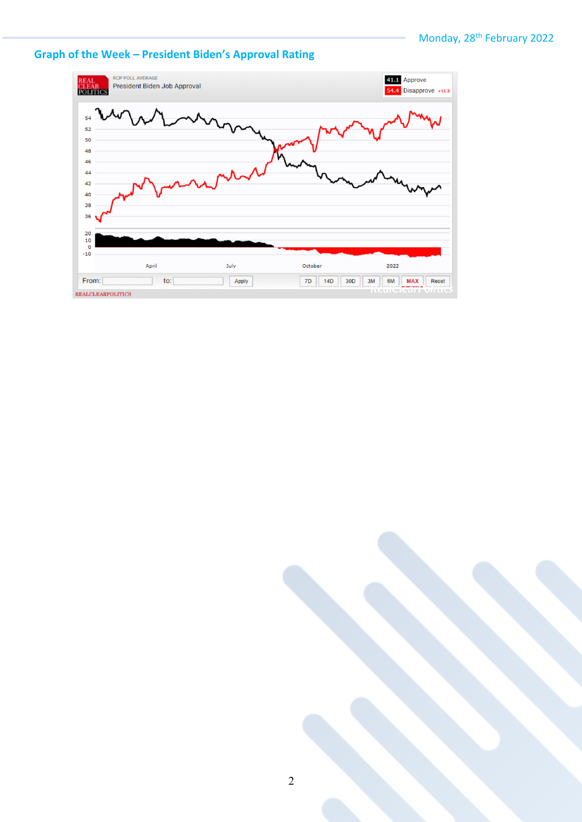## **Graph of the Week – President Biden's Approval Rating**